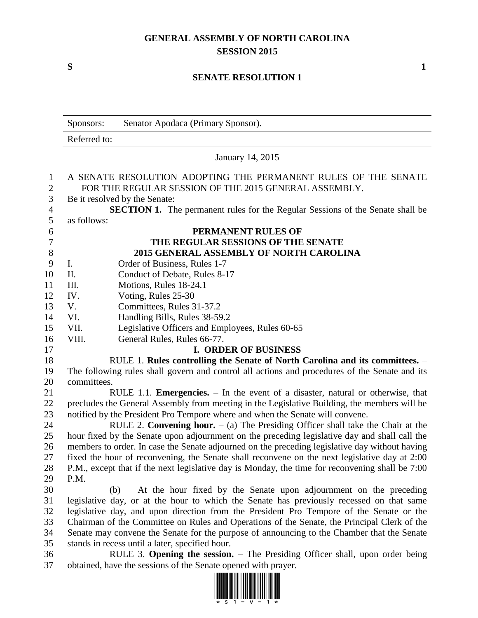# **GENERAL ASSEMBLY OF NORTH CAROLINA SESSION 2015**

**S 1**

# **SENATE RESOLUTION 1**

|                                | Sponsors:      | Senator Apodaca (Primary Sponsor).                                                                                      |
|--------------------------------|----------------|-------------------------------------------------------------------------------------------------------------------------|
|                                | Referred to:   |                                                                                                                         |
|                                |                | January 14, 2015                                                                                                        |
| $\mathbf{1}$<br>$\overline{2}$ |                | A SENATE RESOLUTION ADOPTING THE PERMANENT RULES OF THE SENATE<br>FOR THE REGULAR SESSION OF THE 2015 GENERAL ASSEMBLY. |
| $\overline{3}$                 |                | Be it resolved by the Senate:                                                                                           |
| $\overline{4}$                 |                | <b>SECTION 1.</b> The permanent rules for the Regular Sessions of the Senate shall be                                   |
| 5                              | as follows:    |                                                                                                                         |
| 6                              |                | PERMANENT RULES OF                                                                                                      |
| $\overline{7}$                 |                | THE REGULAR SESSIONS OF THE SENATE                                                                                      |
| 8                              |                | 2015 GENERAL ASSEMBLY OF NORTH CAROLINA                                                                                 |
| 9                              | $\mathbf{I}$ . | Order of Business, Rules 1-7                                                                                            |
| 10                             | II.            | Conduct of Debate, Rules 8-17                                                                                           |
| 11                             | III.           | Motions, Rules 18-24.1                                                                                                  |
| 12                             | IV.            | Voting, Rules 25-30                                                                                                     |
| 13                             | V.             | Committees, Rules 31-37.2                                                                                               |
| 14                             | VI.            | Handling Bills, Rules 38-59.2                                                                                           |
| 15                             | VII.           | Legislative Officers and Employees, Rules 60-65                                                                         |
| 16                             | VIII.          | General Rules, Rules 66-77.                                                                                             |
| 17                             |                | <b>I. ORDER OF BUSINESS</b>                                                                                             |
| 18                             |                | RULE 1. Rules controlling the Senate of North Carolina and its committees. -                                            |
| 19                             |                | The following rules shall govern and control all actions and procedures of the Senate and its                           |
| 20                             | committees.    |                                                                                                                         |
| 21                             |                | RULE 1.1. Emergencies. - In the event of a disaster, natural or otherwise, that                                         |
| 22                             |                | precludes the General Assembly from meeting in the Legislative Building, the members will be                            |
| 23                             |                | notified by the President Pro Tempore where and when the Senate will convene.                                           |
| 24                             |                | RULE 2. Convening hour. $-$ (a) The Presiding Officer shall take the Chair at the                                       |
| 25                             |                | hour fixed by the Senate upon adjournment on the preceding legislative day and shall call the                           |
| 26                             |                | members to order. In case the Senate adjourned on the preceding legislative day without having                          |
| 27                             |                | fixed the hour of reconvening, the Senate shall reconvene on the next legislative day at 2:00                           |
| 28                             |                | P.M., except that if the next legislative day is Monday, the time for reconvening shall be 7:00                         |
| 29                             | P.M.           |                                                                                                                         |
| 30                             |                | At the hour fixed by the Senate upon adjournment on the preceding<br>(b)                                                |
| 31                             |                | legislative day, or at the hour to which the Senate has previously recessed on that same                                |
| 32                             |                | legislative day, and upon direction from the President Pro Tempore of the Senate or the                                 |
| 33                             |                | Chairman of the Committee on Rules and Operations of the Senate, the Principal Clerk of the                             |
| 34                             |                | Senate may convene the Senate for the purpose of announcing to the Chamber that the Senate                              |
| 35                             |                | stands in recess until a later, specified hour.                                                                         |
| 36                             |                | RULE 3. Opening the session. – The Presiding Officer shall, upon order being                                            |
| 37                             |                | obtained, have the sessions of the Senate opened with prayer.                                                           |

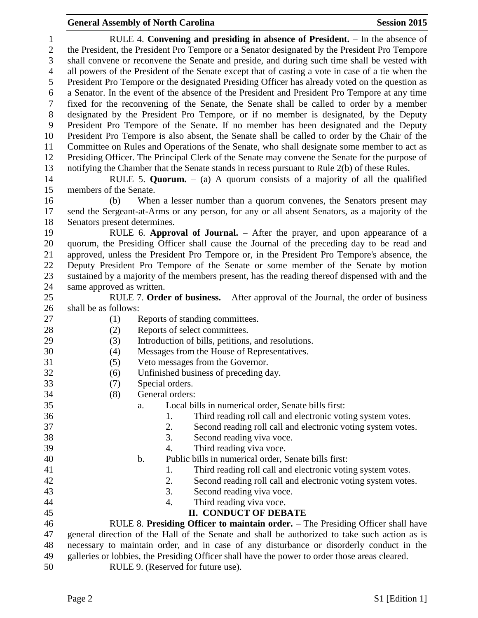RULE 4. **Convening and presiding in absence of President.** – In the absence of the President, the President Pro Tempore or a Senator designated by the President Pro Tempore shall convene or reconvene the Senate and preside, and during such time shall be vested with all powers of the President of the Senate except that of casting a vote in case of a tie when the President Pro Tempore or the designated Presiding Officer has already voted on the question as a Senator. In the event of the absence of the President and President Pro Tempore at any time fixed for the reconvening of the Senate, the Senate shall be called to order by a member designated by the President Pro Tempore, or if no member is designated, by the Deputy President Pro Tempore of the Senate. If no member has been designated and the Deputy President Pro Tempore is also absent, the Senate shall be called to order by the Chair of the Committee on Rules and Operations of the Senate, who shall designate some member to act as Presiding Officer. The Principal Clerk of the Senate may convene the Senate for the purpose of notifying the Chamber that the Senate stands in recess pursuant to Rule 2(b) of these Rules. RULE 5. **Quorum.** – (a) A quorum consists of a majority of all the qualified members of the Senate. (b) When a lesser number than a quorum convenes, the Senators present may send the Sergeant-at-Arms or any person, for any or all absent Senators, as a majority of the Senators present determines. RULE 6. **Approval of Journal.** – After the prayer, and upon appearance of a quorum, the Presiding Officer shall cause the Journal of the preceding day to be read and approved, unless the President Pro Tempore or, in the President Pro Tempore's absence, the Deputy President Pro Tempore of the Senate or some member of the Senate by motion sustained by a majority of the members present, has the reading thereof dispensed with and the same approved as written. RULE 7. **Order of business.** – After approval of the Journal, the order of business shall be as follows: (1) Reports of standing committees. 28 (2) Reports of select committees. (3) Introduction of bills, petitions, and resolutions. (4) Messages from the House of Representatives. (5) Veto messages from the Governor. (6) Unfinished business of preceding day. (7) Special orders. (8) General orders: a. Local bills in numerical order, Senate bills first: 1. Third reading roll call and electronic voting system votes. 2. Second reading roll call and electronic voting system votes. 3. Second reading viva voce. 4. Third reading viva voce. b. Public bills in numerical order, Senate bills first: 41 1. Third reading roll call and electronic voting system votes. 2. Second reading roll call and electronic voting system votes. 43 3. Second reading viva voce. 4. Third reading viva voce. **II. CONDUCT OF DEBATE** RULE 8. **Presiding Officer to maintain order.** – The Presiding Officer shall have general direction of the Hall of the Senate and shall be authorized to take such action as is necessary to maintain order, and in case of any disturbance or disorderly conduct in the galleries or lobbies, the Presiding Officer shall have the power to order those areas cleared.

RULE 9. (Reserved for future use).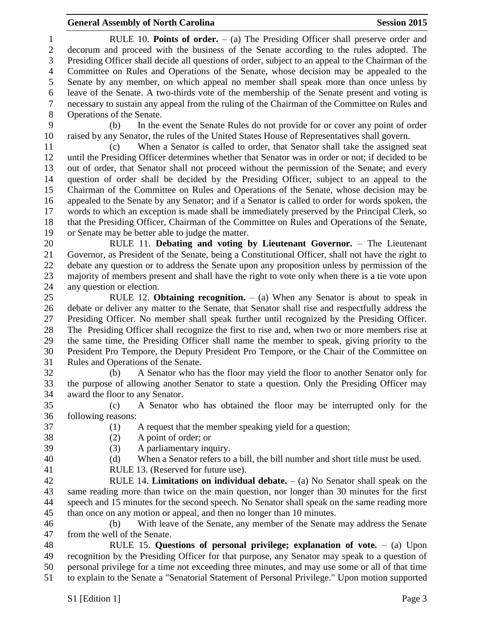RULE 10. **Points of order.** – (a) The Presiding Officer shall preserve order and decorum and proceed with the business of the Senate according to the rules adopted. The Presiding Officer shall decide all questions of order, subject to an appeal to the Chairman of the Committee on Rules and Operations of the Senate, whose decision may be appealed to the Senate by any member, on which appeal no member shall speak more than once unless by leave of the Senate. A two-thirds vote of the membership of the Senate present and voting is necessary to sustain any appeal from the ruling of the Chairman of the Committee on Rules and Operations of the Senate.

 (b) In the event the Senate Rules do not provide for or cover any point of order raised by any Senator, the rules of the United States House of Representatives shall govern.

 (c) When a Senator is called to order, that Senator shall take the assigned seat until the Presiding Officer determines whether that Senator was in order or not; if decided to be out of order, that Senator shall not proceed without the permission of the Senate; and every question of order shall be decided by the Presiding Officer, subject to an appeal to the Chairman of the Committee on Rules and Operations of the Senate, whose decision may be appealed to the Senate by any Senator; and if a Senator is called to order for words spoken, the words to which an exception is made shall be immediately preserved by the Principal Clerk, so that the Presiding Officer, Chairman of the Committee on Rules and Operations of the Senate, or Senate may be better able to judge the matter.

 RULE 11. **Debating and voting by Lieutenant Governor.** – The Lieutenant Governor, as President of the Senate, being a Constitutional Officer, shall not have the right to debate any question or to address the Senate upon any proposition unless by permission of the majority of members present and shall have the right to vote only when there is a tie vote upon any question or election.

 RULE 12. **Obtaining recognition.** – (a) When any Senator is about to speak in debate or deliver any matter to the Senate, that Senator shall rise and respectfully address the Presiding Officer. No member shall speak further until recognized by the Presiding Officer. The Presiding Officer shall recognize the first to rise and, when two or more members rise at the same time, the Presiding Officer shall name the member to speak, giving priority to the President Pro Tempore, the Deputy President Pro Tempore, or the Chair of the Committee on Rules and Operations of the Senate.

 (b) A Senator who has the floor may yield the floor to another Senator only for the purpose of allowing another Senator to state a question. Only the Presiding Officer may award the floor to any Senator.

 (c) A Senator who has obtained the floor may be interrupted only for the following reasons:

- (1) A request that the member speaking yield for a question;
- 
- (2) A point of order; or (3) A parliamentary inquiry.

- (d) When a Senator refers to a bill, the bill number and short title must be used.
- RULE 13. (Reserved for future use).

 RULE 14. **Limitations on individual debate.** – (a) No Senator shall speak on the same reading more than twice on the main question, nor longer than 30 minutes for the first speech and 15 minutes for the second speech. No Senator shall speak on the same reading more than once on any motion or appeal, and then no longer than 10 minutes.

 (b) With leave of the Senate, any member of the Senate may address the Senate from the well of the Senate.

 RULE 15. **Questions of personal privilege; explanation of vote.** – (a) Upon recognition by the Presiding Officer for that purpose, any Senator may speak to a question of personal privilege for a time not exceeding three minutes, and may use some or all of that time to explain to the Senate a "Senatorial Statement of Personal Privilege." Upon motion supported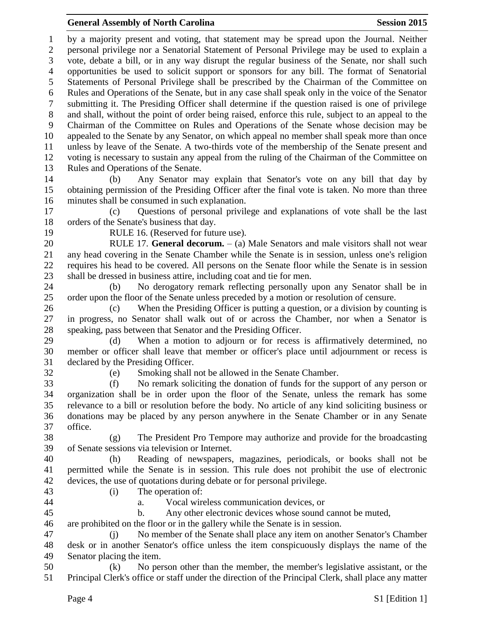by a majority present and voting, that statement may be spread upon the Journal. Neither personal privilege nor a Senatorial Statement of Personal Privilege may be used to explain a vote, debate a bill, or in any way disrupt the regular business of the Senate, nor shall such opportunities be used to solicit support or sponsors for any bill. The format of Senatorial Statements of Personal Privilege shall be prescribed by the Chairman of the Committee on Rules and Operations of the Senate, but in any case shall speak only in the voice of the Senator submitting it. The Presiding Officer shall determine if the question raised is one of privilege and shall, without the point of order being raised, enforce this rule, subject to an appeal to the Chairman of the Committee on Rules and Operations of the Senate whose decision may be appealed to the Senate by any Senator, on which appeal no member shall speak more than once unless by leave of the Senate. A two-thirds vote of the membership of the Senate present and voting is necessary to sustain any appeal from the ruling of the Chairman of the Committee on Rules and Operations of the Senate. (b) Any Senator may explain that Senator's vote on any bill that day by obtaining permission of the Presiding Officer after the final vote is taken. No more than three minutes shall be consumed in such explanation. (c) Questions of personal privilege and explanations of vote shall be the last orders of the Senate's business that day. RULE 16. (Reserved for future use). RULE 17. **General decorum.** – (a) Male Senators and male visitors shall not wear any head covering in the Senate Chamber while the Senate is in session, unless one's religion requires his head to be covered. All persons on the Senate floor while the Senate is in session shall be dressed in business attire, including coat and tie for men. (b) No derogatory remark reflecting personally upon any Senator shall be in order upon the floor of the Senate unless preceded by a motion or resolution of censure. (c) When the Presiding Officer is putting a question, or a division by counting is in progress, no Senator shall walk out of or across the Chamber, nor when a Senator is speaking, pass between that Senator and the Presiding Officer. (d) When a motion to adjourn or for recess is affirmatively determined, no member or officer shall leave that member or officer's place until adjournment or recess is declared by the Presiding Officer. (e) Smoking shall not be allowed in the Senate Chamber. (f) No remark soliciting the donation of funds for the support of any person or organization shall be in order upon the floor of the Senate, unless the remark has some relevance to a bill or resolution before the body. No article of any kind soliciting business or donations may be placed by any person anywhere in the Senate Chamber or in any Senate office. (g) The President Pro Tempore may authorize and provide for the broadcasting of Senate sessions via television or Internet. (h) Reading of newspapers, magazines, periodicals, or books shall not be permitted while the Senate is in session. This rule does not prohibit the use of electronic devices, the use of quotations during debate or for personal privilege. (i) The operation of: a. Vocal wireless communication devices, or b. Any other electronic devices whose sound cannot be muted, are prohibited on the floor or in the gallery while the Senate is in session.

 (j) No member of the Senate shall place any item on another Senator's Chamber desk or in another Senator's office unless the item conspicuously displays the name of the Senator placing the item.

 (k) No person other than the member, the member's legislative assistant, or the Principal Clerk's office or staff under the direction of the Principal Clerk, shall place any matter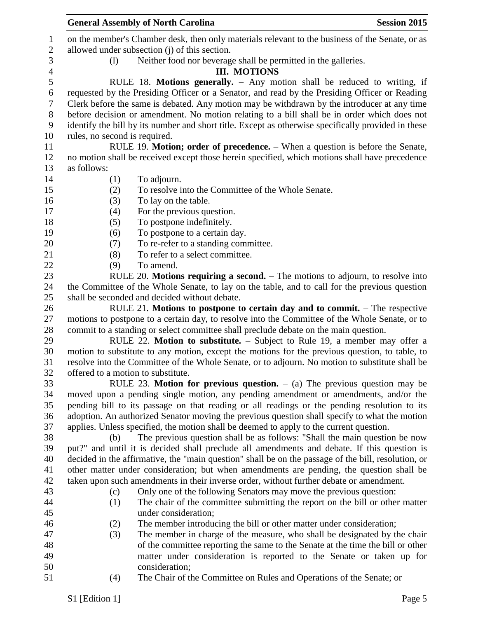|                          | <b>General Assembly of North Carolina</b>                                                                                                                        | <b>Session 2015</b> |
|--------------------------|------------------------------------------------------------------------------------------------------------------------------------------------------------------|---------------------|
| $\mathbf{1}$             | on the member's Chamber desk, then only materials relevant to the business of the Senate, or as                                                                  |                     |
| $\overline{2}$           | allowed under subsection (j) of this section.                                                                                                                    |                     |
| 3                        | Neither food nor beverage shall be permitted in the galleries.<br>(1)                                                                                            |                     |
| $\overline{\mathcal{A}}$ | <b>III. MOTIONS</b>                                                                                                                                              |                     |
| 5                        | RULE 18. Motions generally. - Any motion shall be reduced to writing, if                                                                                         |                     |
| 6                        | requested by the Presiding Officer or a Senator, and read by the Presiding Officer or Reading                                                                    |                     |
| $\tau$                   | Clerk before the same is debated. Any motion may be withdrawn by the introducer at any time                                                                      |                     |
| $8\,$                    | before decision or amendment. No motion relating to a bill shall be in order which does not                                                                      |                     |
| 9                        | identify the bill by its number and short title. Except as otherwise specifically provided in these                                                              |                     |
| 10                       | rules, no second is required.                                                                                                                                    |                     |
| 11                       | RULE 19. Motion; order of precedence. – When a question is before the Senate,                                                                                    |                     |
| 12                       | no motion shall be received except those herein specified, which motions shall have precedence                                                                   |                     |
| 13                       | as follows:                                                                                                                                                      |                     |
| 14                       | To adjourn.<br>(1)                                                                                                                                               |                     |
| 15                       | To resolve into the Committee of the Whole Senate.<br>(2)                                                                                                        |                     |
| 16                       | (3)<br>To lay on the table.                                                                                                                                      |                     |
| 17                       | (4)<br>For the previous question.                                                                                                                                |                     |
| 18                       | To postpone indefinitely.<br>(5)                                                                                                                                 |                     |
| 19                       | To postpone to a certain day.<br>(6)                                                                                                                             |                     |
| 20                       | To re-refer to a standing committee.<br>(7)                                                                                                                      |                     |
| 21                       | To refer to a select committee.<br>(8)                                                                                                                           |                     |
| 22                       | (9)<br>To amend.                                                                                                                                                 |                     |
| 23                       | RULE 20. Motions requiring a second. $-$ The motions to adjourn, to resolve into                                                                                 |                     |
| 24                       | the Committee of the Whole Senate, to lay on the table, and to call for the previous question                                                                    |                     |
| 25                       | shall be seconded and decided without debate.                                                                                                                    |                     |
| 26                       | RULE 21. Motions to postpone to certain day and to commit. $-$ The respective                                                                                    |                     |
| 27                       | motions to postpone to a certain day, to resolve into the Committee of the Whole Senate, or to                                                                   |                     |
| 28                       | commit to a standing or select committee shall preclude debate on the main question.                                                                             |                     |
| 29                       | RULE 22. Motion to substitute. - Subject to Rule 19, a member may offer a                                                                                        |                     |
| 30                       | motion to substitute to any motion, except the motions for the previous question, to table, to                                                                   |                     |
| 31                       | resolve into the Committee of the Whole Senate, or to adjourn. No motion to substitute shall be                                                                  |                     |
| 32                       | offered to a motion to substitute.                                                                                                                               |                     |
| 33                       | RULE 23. Motion for previous question. $-$ (a) The previous question may be                                                                                      |                     |
| 34                       | moved upon a pending single motion, any pending amendment or amendments, and/or the                                                                              |                     |
| 35                       | pending bill to its passage on that reading or all readings or the pending resolution to its                                                                     |                     |
| 36                       | adoption. An authorized Senator moving the previous question shall specify to what the motion                                                                    |                     |
| 37                       | applies. Unless specified, the motion shall be deemed to apply to the current question.                                                                          |                     |
| 38                       | The previous question shall be as follows: "Shall the main question be now<br>(b)                                                                                |                     |
| 39                       | put?" and until it is decided shall preclude all amendments and debate. If this question is                                                                      |                     |
| 40<br>41                 | decided in the affirmative, the "main question" shall be on the passage of the bill, resolution, or                                                              |                     |
| 42                       | other matter under consideration; but when amendments are pending, the question shall be                                                                         |                     |
| 43                       | taken upon such amendments in their inverse order, without further debate or amendment.                                                                          |                     |
| 44                       | Only one of the following Senators may move the previous question:<br>(c)<br>The chair of the committee submitting the report on the bill or other matter<br>(1) |                     |
| 45                       | under consideration;                                                                                                                                             |                     |
| 46                       | The member introducing the bill or other matter under consideration;<br>(2)                                                                                      |                     |
| 47                       | The member in charge of the measure, who shall be designated by the chair<br>(3)                                                                                 |                     |
| 48                       | of the committee reporting the same to the Senate at the time the bill or other                                                                                  |                     |
| 49                       | matter under consideration is reported to the Senate or taken up for                                                                                             |                     |
| 50                       | consideration;                                                                                                                                                   |                     |
| 51                       | The Chair of the Committee on Rules and Operations of the Senate; or<br>(4)                                                                                      |                     |
|                          |                                                                                                                                                                  |                     |
|                          | S1 [Edition 1]                                                                                                                                                   | Page 5              |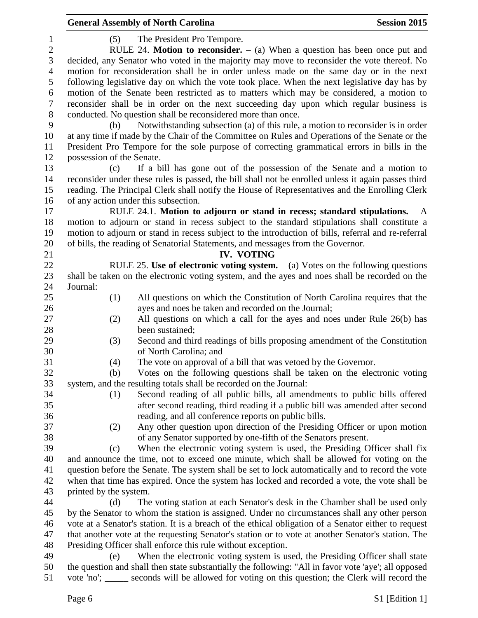|                |                           | <b>General Assembly of North Carolina</b>                                                            | <b>Session 2015</b> |
|----------------|---------------------------|------------------------------------------------------------------------------------------------------|---------------------|
| $\mathbf{1}$   | (5)                       | The President Pro Tempore.                                                                           |                     |
| $\mathbf{2}$   |                           | RULE 24. Motion to reconsider. $-$ (a) When a question has been once put and                         |                     |
| $\mathfrak{Z}$ |                           | decided, any Senator who voted in the majority may move to reconsider the vote thereof. No           |                     |
| $\overline{4}$ |                           | motion for reconsideration shall be in order unless made on the same day or in the next              |                     |
| 5              |                           | following legislative day on which the vote took place. When the next legislative day has by         |                     |
| 6              |                           | motion of the Senate been restricted as to matters which may be considered, a motion to              |                     |
| $\tau$         |                           | reconsider shall be in order on the next succeeding day upon which regular business is               |                     |
| $8\,$          |                           | conducted. No question shall be reconsidered more than once.                                         |                     |
| 9              | (b)                       | Notwithstanding subsection (a) of this rule, a motion to reconsider is in order                      |                     |
| 10             |                           | at any time if made by the Chair of the Committee on Rules and Operations of the Senate or the       |                     |
| 11             |                           | President Pro Tempore for the sole purpose of correcting grammatical errors in bills in the          |                     |
| 12             | possession of the Senate. |                                                                                                      |                     |
| 13             | (c)                       | If a bill has gone out of the possession of the Senate and a motion to                               |                     |
| 14             |                           | reconsider under these rules is passed, the bill shall not be enrolled unless it again passes third  |                     |
| 15             |                           | reading. The Principal Clerk shall notify the House of Representatives and the Enrolling Clerk       |                     |
| 16             |                           | of any action under this subsection.                                                                 |                     |
| 17             |                           |                                                                                                      |                     |
| 18             |                           | RULE 24.1. Motion to adjourn or stand in recess; standard stipulations. $- A$                        |                     |
|                |                           | motion to adjourn or stand in recess subject to the standard stipulations shall constitute a         |                     |
| 19             |                           | motion to adjourn or stand in recess subject to the introduction of bills, referral and re-referral  |                     |
| 20             |                           | of bills, the reading of Senatorial Statements, and messages from the Governor.                      |                     |
| 21             |                           | <b>IV. VOTING</b>                                                                                    |                     |
| 22             |                           | RULE 25. Use of electronic voting system. $-$ (a) Votes on the following questions                   |                     |
| 23             |                           | shall be taken on the electronic voting system, and the ayes and noes shall be recorded on the       |                     |
| 24             | Journal:                  |                                                                                                      |                     |
| 25             | (1)                       | All questions on which the Constitution of North Carolina requires that the                          |                     |
| 26             |                           | ayes and noes be taken and recorded on the Journal;                                                  |                     |
| 27             | (2)                       | All questions on which a call for the ayes and noes under Rule 26(b) has                             |                     |
| 28             |                           | been sustained;                                                                                      |                     |
| 29             | (3)                       | Second and third readings of bills proposing amendment of the Constitution                           |                     |
| 30             |                           | of North Carolina; and                                                                               |                     |
| 31             | (4)                       | The vote on approval of a bill that was vetoed by the Governor.                                      |                     |
| 32             | (b)                       | Votes on the following questions shall be taken on the electronic voting                             |                     |
| 33             |                           | system, and the resulting totals shall be recorded on the Journal:                                   |                     |
| 34             | (1)                       | Second reading of all public bills, all amendments to public bills offered                           |                     |
| 35             |                           | after second reading, third reading if a public bill was amended after second                        |                     |
| 36             |                           | reading, and all conference reports on public bills.                                                 |                     |
| 37             | (2)                       | Any other question upon direction of the Presiding Officer or upon motion                            |                     |
| 38             |                           | of any Senator supported by one-fifth of the Senators present.                                       |                     |
| 39             | (c)                       | When the electronic voting system is used, the Presiding Officer shall fix                           |                     |
| 40             |                           | and announce the time, not to exceed one minute, which shall be allowed for voting on the            |                     |
| 41             |                           | question before the Senate. The system shall be set to lock automatically and to record the vote     |                     |
| 42             |                           | when that time has expired. Once the system has locked and recorded a vote, the vote shall be        |                     |
| 43             | printed by the system.    |                                                                                                      |                     |
| 44             | (d)                       | The voting station at each Senator's desk in the Chamber shall be used only                          |                     |
| 45             |                           | by the Senator to whom the station is assigned. Under no circumstances shall any other person        |                     |
| 46             |                           | vote at a Senator's station. It is a breach of the ethical obligation of a Senator either to request |                     |
| 47             |                           | that another vote at the requesting Senator's station or to vote at another Senator's station. The   |                     |
| 48             |                           | Presiding Officer shall enforce this rule without exception.                                         |                     |
| 49             | (e)                       | When the electronic voting system is used, the Presiding Officer shall state                         |                     |
| 50             |                           | the question and shall then state substantially the following: "All in favor vote 'aye'; all opposed |                     |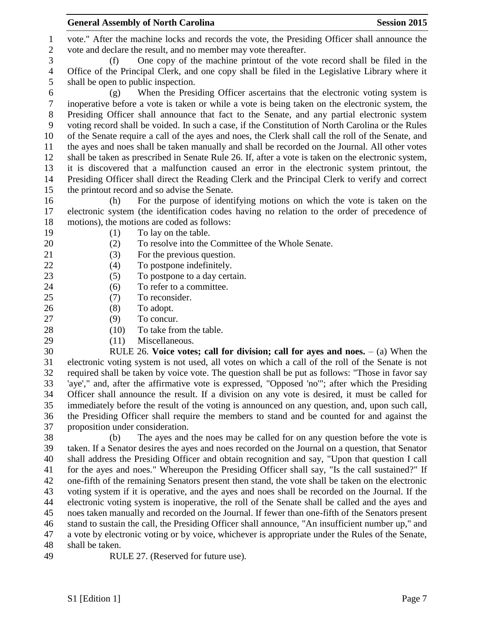vote." After the machine locks and records the vote, the Presiding Officer shall announce the vote and declare the result, and no member may vote thereafter.

 (f) One copy of the machine printout of the vote record shall be filed in the Office of the Principal Clerk, and one copy shall be filed in the Legislative Library where it shall be open to public inspection.

 (g) When the Presiding Officer ascertains that the electronic voting system is inoperative before a vote is taken or while a vote is being taken on the electronic system, the Presiding Officer shall announce that fact to the Senate, and any partial electronic system voting record shall be voided. In such a case, if the Constitution of North Carolina or the Rules of the Senate require a call of the ayes and noes, the Clerk shall call the roll of the Senate, and the ayes and noes shall be taken manually and shall be recorded on the Journal. All other votes shall be taken as prescribed in Senate Rule 26. If, after a vote is taken on the electronic system, it is discovered that a malfunction caused an error in the electronic system printout, the Presiding Officer shall direct the Reading Clerk and the Principal Clerk to verify and correct the printout record and so advise the Senate.

 (h) For the purpose of identifying motions on which the vote is taken on the electronic system (the identification codes having no relation to the order of precedence of motions), the motions are coded as follows:

- 19 (1) To lay on the table.
- (2) To resolve into the Committee of the Whole Senate.
- 
- 21 (3) For the previous question.
- 22 (4) To postpone indefinitely.
- 23 (5) To postpone to a day certain.
- 24 (6) To refer to a committee.
- (7) To reconsider.
- (8) To adopt.
- 27 (9) To concur.
- 28 (10) To take from the table.
- 
- (11) Miscellaneous.

 RULE 26. **Voice votes; call for division; call for ayes and noes.** – (a) When the electronic voting system is not used, all votes on which a call of the roll of the Senate is not required shall be taken by voice vote. The question shall be put as follows: "Those in favor say 'aye'," and, after the affirmative vote is expressed, "Opposed 'no'"; after which the Presiding Officer shall announce the result. If a division on any vote is desired, it must be called for immediately before the result of the voting is announced on any question, and, upon such call, the Presiding Officer shall require the members to stand and be counted for and against the proposition under consideration.

 (b) The ayes and the noes may be called for on any question before the vote is taken. If a Senator desires the ayes and noes recorded on the Journal on a question, that Senator shall address the Presiding Officer and obtain recognition and say, "Upon that question I call for the ayes and noes." Whereupon the Presiding Officer shall say, "Is the call sustained?" If one-fifth of the remaining Senators present then stand, the vote shall be taken on the electronic voting system if it is operative, and the ayes and noes shall be recorded on the Journal. If the electronic voting system is inoperative, the roll of the Senate shall be called and the ayes and noes taken manually and recorded on the Journal. If fewer than one-fifth of the Senators present stand to sustain the call, the Presiding Officer shall announce, "An insufficient number up," and a vote by electronic voting or by voice, whichever is appropriate under the Rules of the Senate, shall be taken.

RULE 27. (Reserved for future use).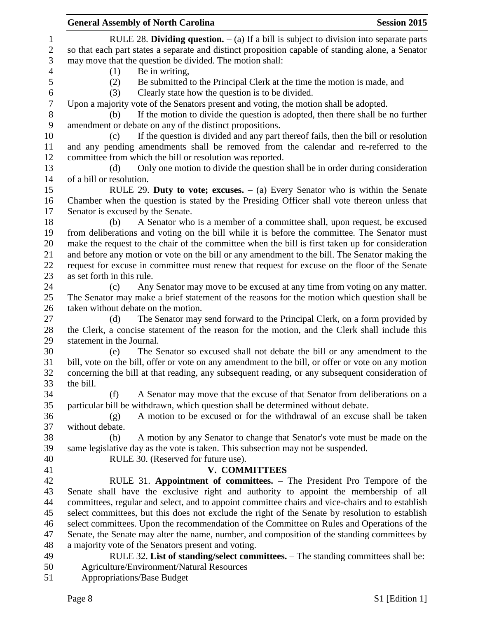|                | <b>Session 2015</b><br><b>General Assembly of North Carolina</b>                                   |
|----------------|----------------------------------------------------------------------------------------------------|
| 1              | RULE 28. Dividing question. $-$ (a) If a bill is subject to division into separate parts           |
| $\sqrt{2}$     | so that each part states a separate and distinct proposition capable of standing alone, a Senator  |
| 3              | may move that the question be divided. The motion shall:                                           |
| $\overline{4}$ | Be in writing,<br>(1)                                                                              |
| 5              | Be submitted to the Principal Clerk at the time the motion is made, and<br>(2)                     |
| 6              | Clearly state how the question is to be divided.<br>(3)                                            |
| 7              | Upon a majority vote of the Senators present and voting, the motion shall be adopted.              |
| 8              | If the motion to divide the question is adopted, then there shall be no further<br>(b)             |
| 9              | amendment or debate on any of the distinct propositions.                                           |
| 10             | If the question is divided and any part thereof fails, then the bill or resolution<br>(c)          |
| 11             | and any pending amendments shall be removed from the calendar and re-referred to the               |
| 12             | committee from which the bill or resolution was reported.                                          |
| 13             | Only one motion to divide the question shall be in order during consideration<br>(d)               |
| 14             | of a bill or resolution.                                                                           |
| 15             | RULE 29. Duty to vote; excuses. $-$ (a) Every Senator who is within the Senate                     |
| 16             | Chamber when the question is stated by the Presiding Officer shall vote thereon unless that        |
| 17             | Senator is excused by the Senate.                                                                  |
| 18             | A Senator who is a member of a committee shall, upon request, be excused<br>(b)                    |
| 19             | from deliberations and voting on the bill while it is before the committee. The Senator must       |
| 20             | make the request to the chair of the committee when the bill is first taken up for consideration   |
| 21             | and before any motion or vote on the bill or any amendment to the bill. The Senator making the     |
| 22             | request for excuse in committee must renew that request for excuse on the floor of the Senate      |
| 23             | as set forth in this rule.                                                                         |
| 24             | Any Senator may move to be excused at any time from voting on any matter.<br>(c)                   |
| 25             | The Senator may make a brief statement of the reasons for the motion which question shall be       |
| 26             | taken without debate on the motion.                                                                |
| 27             | The Senator may send forward to the Principal Clerk, on a form provided by<br>(d)                  |
| 28             | the Clerk, a concise statement of the reason for the motion, and the Clerk shall include this      |
| 29             | statement in the Journal.                                                                          |
| 30             | The Senator so excused shall not debate the bill or any amendment to the<br>(e)                    |
| 31             | bill, vote on the bill, offer or vote on any amendment to the bill, or offer or vote on any motion |
| 32             | concerning the bill at that reading, any subsequent reading, or any subsequent consideration of    |
| 33             | the bill.                                                                                          |
| 34             | A Senator may move that the excuse of that Senator from deliberations on a<br>(f)                  |
| 35             | particular bill be withdrawn, which question shall be determined without debate.                   |
| 36             | A motion to be excused or for the withdrawal of an excuse shall be taken<br>(g)                    |
| 37             | without debate.                                                                                    |
| 38             | A motion by any Senator to change that Senator's vote must be made on the<br>(h)                   |
| 39             | same legislative day as the vote is taken. This subsection may not be suspended.                   |
| 40             | RULE 30. (Reserved for future use).                                                                |
| 41             | <b>V. COMMITTEES</b>                                                                               |
| 42             | RULE 31. Appointment of committees. - The President Pro Tempore of the                             |
| 43             | Senate shall have the exclusive right and authority to appoint the membership of all               |
| 44             | committees, regular and select, and to appoint committee chairs and vice-chairs and to establish   |
| 45             | select committees, but this does not exclude the right of the Senate by resolution to establish    |
| 46             | select committees. Upon the recommendation of the Committee on Rules and Operations of the         |
| 47             | Senate, the Senate may alter the name, number, and composition of the standing committees by       |
| 48             | a majority vote of the Senators present and voting.                                                |
| 49             | RULE 32. List of standing/select committees. – The standing committees shall be:                   |
| 50             | <b>Agriculture/Environment/Natural Resources</b>                                                   |
| 51             | <b>Appropriations/Base Budget</b>                                                                  |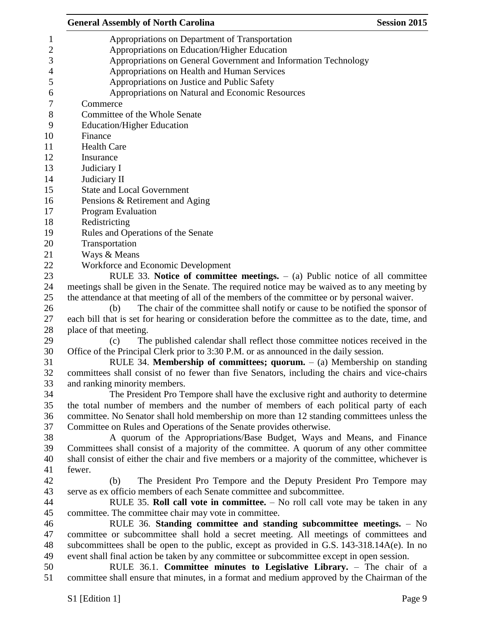| <b>Session 2015</b><br><b>General Assembly of North Carolina</b>                                  |
|---------------------------------------------------------------------------------------------------|
| Appropriations on Department of Transportation                                                    |
| Appropriations on Education/Higher Education                                                      |
| Appropriations on General Government and Information Technology                                   |
| Appropriations on Health and Human Services                                                       |
| Appropriations on Justice and Public Safety                                                       |
| Appropriations on Natural and Economic Resources                                                  |
| Commerce                                                                                          |
| Committee of the Whole Senate                                                                     |
| <b>Education/Higher Education</b>                                                                 |
| Finance                                                                                           |
| <b>Health Care</b>                                                                                |
| Insurance                                                                                         |
| Judiciary I                                                                                       |
| Judiciary II                                                                                      |
| <b>State and Local Government</b>                                                                 |
| Pensions & Retirement and Aging                                                                   |
| <b>Program Evaluation</b>                                                                         |
| Redistricting                                                                                     |
| Rules and Operations of the Senate                                                                |
| Transportation                                                                                    |
| Ways & Means                                                                                      |
| Workforce and Economic Development                                                                |
| RULE 33. Notice of committee meetings. $-$ (a) Public notice of all committee                     |
| meetings shall be given in the Senate. The required notice may be waived as to any meeting by     |
| the attendance at that meeting of all of the members of the committee or by personal waiver.      |
| The chair of the committee shall notify or cause to be notified the sponsor of<br>(b)             |
| each bill that is set for hearing or consideration before the committee as to the date, time, and |
| place of that meeting.                                                                            |
| The published calendar shall reflect those committee notices received in the<br>(c)               |
| Office of the Principal Clerk prior to 3:30 P.M. or as announced in the daily session.            |
| RULE 34. Membership of committees; quorum. $-$ (a) Membership on standing                         |
| committees shall consist of no fewer than five Senators, including the chairs and vice-chairs     |
| and ranking minority members.                                                                     |
| The President Pro Tempore shall have the exclusive right and authority to determine               |
| the total number of members and the number of members of each political party of each             |
| committee. No Senator shall hold membership on more than 12 standing committees unless the        |
| Committee on Rules and Operations of the Senate provides otherwise.                               |
| A quorum of the Appropriations/Base Budget, Ways and Means, and Finance                           |
| Committees shall consist of a majority of the committee. A quorum of any other committee          |
| shall consist of either the chair and five members or a majority of the committee, whichever is   |
| fewer.                                                                                            |
| The President Pro Tempore and the Deputy President Pro Tempore may<br>(b)                         |
| serve as ex officio members of each Senate committee and subcommittee.                            |
| RULE 35. Roll call vote in committee. $-$ No roll call vote may be taken in any                   |
| committee. The committee chair may vote in committee.                                             |
| RULE 36. Standing committee and standing subcommittee meetings. - No                              |
| committee or subcommittee shall hold a secret meeting. All meetings of committees and             |
| subcommittees shall be open to the public, except as provided in G.S. 143-318.14A(e). In no       |
| event shall final action be taken by any committee or subcommittee except in open session.        |
| RULE 36.1. Committee minutes to Legislative Library. - The chair of a                             |
| committee shall ensure that minutes, in a format and medium approved by the Chairman of the       |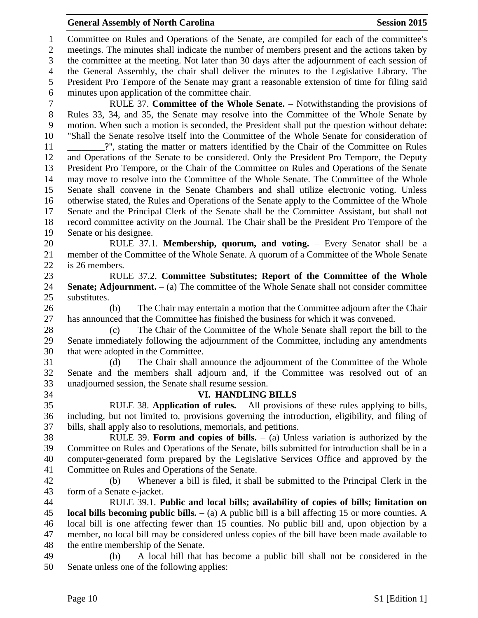Committee on Rules and Operations of the Senate, are compiled for each of the committee's meetings. The minutes shall indicate the number of members present and the actions taken by the committee at the meeting. Not later than 30 days after the adjournment of each session of the General Assembly, the chair shall deliver the minutes to the Legislative Library. The President Pro Tempore of the Senate may grant a reasonable extension of time for filing said minutes upon application of the committee chair.

 RULE 37. **Committee of the Whole Senate.** – Notwithstanding the provisions of Rules 33, 34, and 35, the Senate may resolve into the Committee of the Whole Senate by motion. When such a motion is seconded, the President shall put the question without debate: "Shall the Senate resolve itself into the Committee of the Whole Senate for consideration of \_\_\_\_\_\_\_\_?'', stating the matter or matters identified by the Chair of the Committee on Rules and Operations of the Senate to be considered. Only the President Pro Tempore, the Deputy President Pro Tempore, or the Chair of the Committee on Rules and Operations of the Senate may move to resolve into the Committee of the Whole Senate. The Committee of the Whole Senate shall convene in the Senate Chambers and shall utilize electronic voting. Unless otherwise stated, the Rules and Operations of the Senate apply to the Committee of the Whole Senate and the Principal Clerk of the Senate shall be the Committee Assistant, but shall not record committee activity on the Journal. The Chair shall be the President Pro Tempore of the Senate or his designee.

 RULE 37.1. **Membership, quorum, and voting.** – Every Senator shall be a member of the Committee of the Whole Senate. A quorum of a Committee of the Whole Senate is 26 members.

 RULE 37.2. **Committee Substitutes; Report of the Committee of the Whole Senate; Adjournment.** – (a) The committee of the Whole Senate shall not consider committee substitutes.

 (b) The Chair may entertain a motion that the Committee adjourn after the Chair has announced that the Committee has finished the business for which it was convened.

 (c) The Chair of the Committee of the Whole Senate shall report the bill to the Senate immediately following the adjournment of the Committee, including any amendments that were adopted in the Committee.

 (d) The Chair shall announce the adjournment of the Committee of the Whole Senate and the members shall adjourn and, if the Committee was resolved out of an unadjourned session, the Senate shall resume session.

#### **VI. HANDLING BILLS**

 RULE 38. **Application of rules.** – All provisions of these rules applying to bills, including, but not limited to, provisions governing the introduction, eligibility, and filing of bills, shall apply also to resolutions, memorials, and petitions.

 RULE 39. **Form and copies of bills.** – (a) Unless variation is authorized by the Committee on Rules and Operations of the Senate, bills submitted for introduction shall be in a computer-generated form prepared by the Legislative Services Office and approved by the Committee on Rules and Operations of the Senate.

 (b) Whenever a bill is filed, it shall be submitted to the Principal Clerk in the form of a Senate e-jacket.

 RULE 39.1. **Public and local bills; availability of copies of bills; limitation on local bills becoming public bills.** – (a) A public bill is a bill affecting 15 or more counties. A local bill is one affecting fewer than 15 counties. No public bill and, upon objection by a member, no local bill may be considered unless copies of the bill have been made available to the entire membership of the Senate.

 (b) A local bill that has become a public bill shall not be considered in the Senate unless one of the following applies: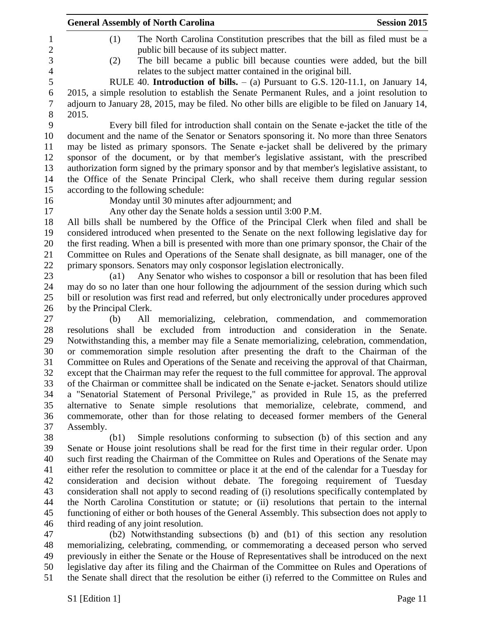|                | <b>General Assembly of North Carolina</b><br><b>Session 2015</b>                                                                                                 |
|----------------|------------------------------------------------------------------------------------------------------------------------------------------------------------------|
| 1              | (1)<br>The North Carolina Constitution prescribes that the bill as filed must be a                                                                               |
| $\overline{2}$ | public bill because of its subject matter.                                                                                                                       |
| 3              | The bill became a public bill because counties were added, but the bill<br>(2)                                                                                   |
| $\overline{4}$ | relates to the subject matter contained in the original bill.                                                                                                    |
| 5              | RULE 40. <b>Introduction of bills.</b> $-$ (a) Pursuant to G.S. 120-11.1, on January 14,                                                                         |
| 6              | 2015, a simple resolution to establish the Senate Permanent Rules, and a joint resolution to                                                                     |
| 7              | adjourn to January 28, 2015, may be filed. No other bills are eligible to be filed on January 14,                                                                |
| $8\phantom{1}$ | 2015.                                                                                                                                                            |
| 9              | Every bill filed for introduction shall contain on the Senate e-jacket the title of the                                                                          |
| 10             | document and the name of the Senator or Senators sponsoring it. No more than three Senators                                                                      |
| 11             | may be listed as primary sponsors. The Senate e-jacket shall be delivered by the primary                                                                         |
| 12             | sponsor of the document, or by that member's legislative assistant, with the prescribed                                                                          |
| 13             | authorization form signed by the primary sponsor and by that member's legislative assistant, to                                                                  |
| 14             | the Office of the Senate Principal Clerk, who shall receive them during regular session                                                                          |
| 15             | according to the following schedule:                                                                                                                             |
| 16             | Monday until 30 minutes after adjournment; and                                                                                                                   |
| 17             | Any other day the Senate holds a session until 3:00 P.M.                                                                                                         |
| 18             | All bills shall be numbered by the Office of the Principal Clerk when filed and shall be                                                                         |
| 19             | considered introduced when presented to the Senate on the next following legislative day for                                                                     |
| 20             | the first reading. When a bill is presented with more than one primary sponsor, the Chair of the                                                                 |
| 21             | Committee on Rules and Operations of the Senate shall designate, as bill manager, one of the                                                                     |
| 22             | primary sponsors. Senators may only cosponsor legislation electronically.                                                                                        |
| 23             | Any Senator who wishes to cosponsor a bill or resolution that has been filed<br>$\left( \text{a1}\right)$                                                        |
| 24             | may do so no later than one hour following the adjournment of the session during which such                                                                      |
| 25             | bill or resolution was first read and referred, but only electronically under procedures approved                                                                |
| 26             | by the Principal Clerk.                                                                                                                                          |
| 27<br>28       | memorializing, celebration, commendation, and commemoration<br>(b)<br>All<br>resolutions shall be excluded from introduction and consideration in the<br>Senate. |
| 29             | Notwithstanding this, a member may file a Senate memorializing, celebration, commendation,                                                                       |
| 30             | or commemoration simple resolution after presenting the draft to the Chairman of the                                                                             |
| 31             | Committee on Rules and Operations of the Senate and receiving the approval of that Chairman,                                                                     |
| 32             | except that the Chairman may refer the request to the full committee for approval. The approval                                                                  |
| 33             | of the Chairman or committee shall be indicated on the Senate e-jacket. Senators should utilize                                                                  |
| 34             | a "Senatorial Statement of Personal Privilege," as provided in Rule 15, as the preferred                                                                         |
| 35             | alternative to Senate simple resolutions that memorialize, celebrate, commend, and                                                                               |
| 36             | commemorate, other than for those relating to deceased former members of the General                                                                             |
| 37             | Assembly.                                                                                                                                                        |
| 38             | Simple resolutions conforming to subsection (b) of this section and any<br>(b1)                                                                                  |
| 39             | Senate or House joint resolutions shall be read for the first time in their regular order. Upon                                                                  |
| 40             | such first reading the Chairman of the Committee on Rules and Operations of the Senate may                                                                       |
| 41             | either refer the resolution to committee or place it at the end of the calendar for a Tuesday for                                                                |
| 42             | consideration and decision without debate. The foregoing requirement of Tuesday                                                                                  |
| 43             | consideration shall not apply to second reading of (i) resolutions specifically contemplated by                                                                  |
| 44             | the North Carolina Constitution or statute; or (ii) resolutions that pertain to the internal                                                                     |
| 45             | functioning of either or both houses of the General Assembly. This subsection does not apply to                                                                  |
| 46             | third reading of any joint resolution.                                                                                                                           |
| 47             | (b2) Notwithstanding subsections (b) and (b1) of this section any resolution                                                                                     |
| 48             | memorializing, celebrating, commending, or commemorating a deceased person who served                                                                            |
| 49             | previously in either the Senate or the House of Representatives shall be introduced on the next                                                                  |

 legislative day after its filing and the Chairman of the Committee on Rules and Operations of the Senate shall direct that the resolution be either (i) referred to the Committee on Rules and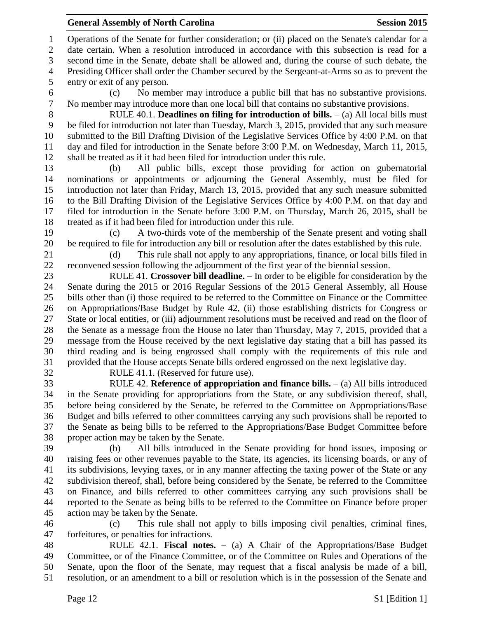Operations of the Senate for further consideration; or (ii) placed on the Senate's calendar for a date certain. When a resolution introduced in accordance with this subsection is read for a second time in the Senate, debate shall be allowed and, during the course of such debate, the Presiding Officer shall order the Chamber secured by the Sergeant-at-Arms so as to prevent the entry or exit of any person.

 (c) No member may introduce a public bill that has no substantive provisions. No member may introduce more than one local bill that contains no substantive provisions.

 RULE 40.1. **Deadlines on filing for introduction of bills.** – (a) All local bills must be filed for introduction not later than Tuesday, March 3, 2015, provided that any such measure submitted to the Bill Drafting Division of the Legislative Services Office by 4:00 P.M. on that day and filed for introduction in the Senate before 3:00 P.M. on Wednesday, March 11, 2015, shall be treated as if it had been filed for introduction under this rule.

 (b) All public bills, except those providing for action on gubernatorial nominations or appointments or adjourning the General Assembly, must be filed for introduction not later than Friday, March 13, 2015, provided that any such measure submitted to the Bill Drafting Division of the Legislative Services Office by 4:00 P.M. on that day and filed for introduction in the Senate before 3:00 P.M. on Thursday, March 26, 2015, shall be treated as if it had been filed for introduction under this rule.

 (c) A two-thirds vote of the membership of the Senate present and voting shall be required to file for introduction any bill or resolution after the dates established by this rule.

 (d) This rule shall not apply to any appropriations, finance, or local bills filed in reconvened session following the adjournment of the first year of the biennial session.

 RULE 41. **Crossover bill deadline.** – In order to be eligible for consideration by the Senate during the 2015 or 2016 Regular Sessions of the 2015 General Assembly, all House bills other than (i) those required to be referred to the Committee on Finance or the Committee on Appropriations/Base Budget by Rule 42, (ii) those establishing districts for Congress or State or local entities, or (iii) adjournment resolutions must be received and read on the floor of the Senate as a message from the House no later than Thursday, May 7, 2015, provided that a message from the House received by the next legislative day stating that a bill has passed its third reading and is being engrossed shall comply with the requirements of this rule and provided that the House accepts Senate bills ordered engrossed on the next legislative day.

RULE 41.1. (Reserved for future use).

 RULE 42. **Reference of appropriation and finance bills.** – (a) All bills introduced in the Senate providing for appropriations from the State, or any subdivision thereof, shall, before being considered by the Senate, be referred to the Committee on Appropriations/Base Budget and bills referred to other committees carrying any such provisions shall be reported to the Senate as being bills to be referred to the Appropriations/Base Budget Committee before proper action may be taken by the Senate.

 (b) All bills introduced in the Senate providing for bond issues, imposing or raising fees or other revenues payable to the State, its agencies, its licensing boards, or any of its subdivisions, levying taxes, or in any manner affecting the taxing power of the State or any subdivision thereof, shall, before being considered by the Senate, be referred to the Committee on Finance, and bills referred to other committees carrying any such provisions shall be reported to the Senate as being bills to be referred to the Committee on Finance before proper action may be taken by the Senate.

 (c) This rule shall not apply to bills imposing civil penalties, criminal fines, forfeitures, or penalties for infractions.

 RULE 42.1. **Fiscal notes.** – (a) A Chair of the Appropriations/Base Budget Committee, or of the Finance Committee, or of the Committee on Rules and Operations of the Senate, upon the floor of the Senate, may request that a fiscal analysis be made of a bill, resolution, or an amendment to a bill or resolution which is in the possession of the Senate and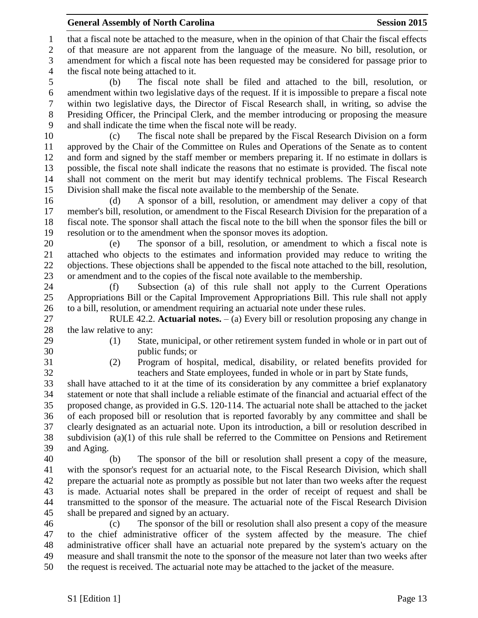that a fiscal note be attached to the measure, when in the opinion of that Chair the fiscal effects of that measure are not apparent from the language of the measure. No bill, resolution, or amendment for which a fiscal note has been requested may be considered for passage prior to the fiscal note being attached to it.

 (b) The fiscal note shall be filed and attached to the bill, resolution, or amendment within two legislative days of the request. If it is impossible to prepare a fiscal note within two legislative days, the Director of Fiscal Research shall, in writing, so advise the Presiding Officer, the Principal Clerk, and the member introducing or proposing the measure and shall indicate the time when the fiscal note will be ready.

 (c) The fiscal note shall be prepared by the Fiscal Research Division on a form approved by the Chair of the Committee on Rules and Operations of the Senate as to content and form and signed by the staff member or members preparing it. If no estimate in dollars is possible, the fiscal note shall indicate the reasons that no estimate is provided. The fiscal note shall not comment on the merit but may identify technical problems. The Fiscal Research Division shall make the fiscal note available to the membership of the Senate.

 (d) A sponsor of a bill, resolution, or amendment may deliver a copy of that member's bill, resolution, or amendment to the Fiscal Research Division for the preparation of a fiscal note. The sponsor shall attach the fiscal note to the bill when the sponsor files the bill or resolution or to the amendment when the sponsor moves its adoption.

 (e) The sponsor of a bill, resolution, or amendment to which a fiscal note is attached who objects to the estimates and information provided may reduce to writing the objections. These objections shall be appended to the fiscal note attached to the bill, resolution, or amendment and to the copies of the fiscal note available to the membership.

 (f) Subsection (a) of this rule shall not apply to the Current Operations Appropriations Bill or the Capital Improvement Appropriations Bill. This rule shall not apply to a bill, resolution, or amendment requiring an actuarial note under these rules.

 RULE 42.2. **Actuarial notes.** – (a) Every bill or resolution proposing any change in the law relative to any:

- 
- (1) State, municipal, or other retirement system funded in whole or in part out of public funds; or
- 

 (2) Program of hospital, medical, disability, or related benefits provided for teachers and State employees, funded in whole or in part by State funds,

 shall have attached to it at the time of its consideration by any committee a brief explanatory statement or note that shall include a reliable estimate of the financial and actuarial effect of the proposed change, as provided in G.S. 120-114. The actuarial note shall be attached to the jacket of each proposed bill or resolution that is reported favorably by any committee and shall be clearly designated as an actuarial note. Upon its introduction, a bill or resolution described in subdivision (a)(1) of this rule shall be referred to the Committee on Pensions and Retirement and Aging.

 (b) The sponsor of the bill or resolution shall present a copy of the measure, with the sponsor's request for an actuarial note, to the Fiscal Research Division, which shall prepare the actuarial note as promptly as possible but not later than two weeks after the request is made. Actuarial notes shall be prepared in the order of receipt of request and shall be transmitted to the sponsor of the measure. The actuarial note of the Fiscal Research Division shall be prepared and signed by an actuary.

 (c) The sponsor of the bill or resolution shall also present a copy of the measure to the chief administrative officer of the system affected by the measure. The chief administrative officer shall have an actuarial note prepared by the system's actuary on the measure and shall transmit the note to the sponsor of the measure not later than two weeks after the request is received. The actuarial note may be attached to the jacket of the measure.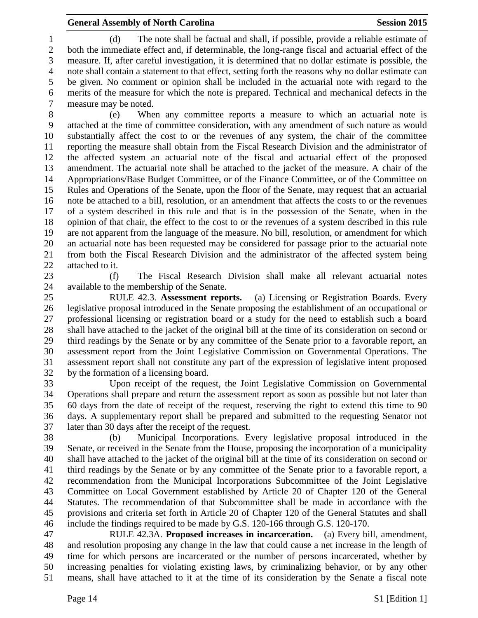(d) The note shall be factual and shall, if possible, provide a reliable estimate of both the immediate effect and, if determinable, the long-range fiscal and actuarial effect of the measure. If, after careful investigation, it is determined that no dollar estimate is possible, the note shall contain a statement to that effect, setting forth the reasons why no dollar estimate can be given. No comment or opinion shall be included in the actuarial note with regard to the merits of the measure for which the note is prepared. Technical and mechanical defects in the measure may be noted.

 (e) When any committee reports a measure to which an actuarial note is attached at the time of committee consideration, with any amendment of such nature as would substantially affect the cost to or the revenues of any system, the chair of the committee reporting the measure shall obtain from the Fiscal Research Division and the administrator of the affected system an actuarial note of the fiscal and actuarial effect of the proposed amendment. The actuarial note shall be attached to the jacket of the measure. A chair of the Appropriations/Base Budget Committee, or of the Finance Committee, or of the Committee on Rules and Operations of the Senate, upon the floor of the Senate, may request that an actuarial note be attached to a bill, resolution, or an amendment that affects the costs to or the revenues of a system described in this rule and that is in the possession of the Senate, when in the opinion of that chair, the effect to the cost to or the revenues of a system described in this rule are not apparent from the language of the measure. No bill, resolution, or amendment for which an actuarial note has been requested may be considered for passage prior to the actuarial note from both the Fiscal Research Division and the administrator of the affected system being attached to it.

 (f) The Fiscal Research Division shall make all relevant actuarial notes available to the membership of the Senate.

 RULE 42.3. **Assessment reports.** – (a) Licensing or Registration Boards. Every legislative proposal introduced in the Senate proposing the establishment of an occupational or professional licensing or registration board or a study for the need to establish such a board shall have attached to the jacket of the original bill at the time of its consideration on second or third readings by the Senate or by any committee of the Senate prior to a favorable report, an assessment report from the Joint Legislative Commission on Governmental Operations. The assessment report shall not constitute any part of the expression of legislative intent proposed by the formation of a licensing board.

 Upon receipt of the request, the Joint Legislative Commission on Governmental Operations shall prepare and return the assessment report as soon as possible but not later than 60 days from the date of receipt of the request, reserving the right to extend this time to 90 days. A supplementary report shall be prepared and submitted to the requesting Senator not later than 30 days after the receipt of the request.

 (b) Municipal Incorporations. Every legislative proposal introduced in the Senate, or received in the Senate from the House, proposing the incorporation of a municipality shall have attached to the jacket of the original bill at the time of its consideration on second or third readings by the Senate or by any committee of the Senate prior to a favorable report, a recommendation from the Municipal Incorporations Subcommittee of the Joint Legislative Committee on Local Government established by Article 20 of Chapter 120 of the General Statutes. The recommendation of that Subcommittee shall be made in accordance with the provisions and criteria set forth in Article 20 of Chapter 120 of the General Statutes and shall include the findings required to be made by G.S. 120-166 through G.S. 120-170.

 RULE 42.3A. **Proposed increases in incarceration.** – (a) Every bill, amendment, and resolution proposing any change in the law that could cause a net increase in the length of time for which persons are incarcerated or the number of persons incarcerated, whether by increasing penalties for violating existing laws, by criminalizing behavior, or by any other means, shall have attached to it at the time of its consideration by the Senate a fiscal note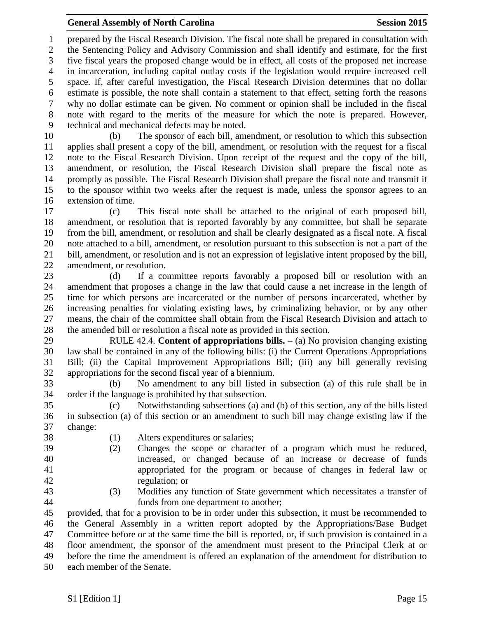prepared by the Fiscal Research Division. The fiscal note shall be prepared in consultation with the Sentencing Policy and Advisory Commission and shall identify and estimate, for the first five fiscal years the proposed change would be in effect, all costs of the proposed net increase in incarceration, including capital outlay costs if the legislation would require increased cell space. If, after careful investigation, the Fiscal Research Division determines that no dollar estimate is possible, the note shall contain a statement to that effect, setting forth the reasons why no dollar estimate can be given. No comment or opinion shall be included in the fiscal note with regard to the merits of the measure for which the note is prepared. However, technical and mechanical defects may be noted.

 (b) The sponsor of each bill, amendment, or resolution to which this subsection applies shall present a copy of the bill, amendment, or resolution with the request for a fiscal note to the Fiscal Research Division. Upon receipt of the request and the copy of the bill, amendment, or resolution, the Fiscal Research Division shall prepare the fiscal note as promptly as possible. The Fiscal Research Division shall prepare the fiscal note and transmit it to the sponsor within two weeks after the request is made, unless the sponsor agrees to an extension of time.

 (c) This fiscal note shall be attached to the original of each proposed bill, amendment, or resolution that is reported favorably by any committee, but shall be separate from the bill, amendment, or resolution and shall be clearly designated as a fiscal note. A fiscal note attached to a bill, amendment, or resolution pursuant to this subsection is not a part of the bill, amendment, or resolution and is not an expression of legislative intent proposed by the bill, amendment, or resolution.

 (d) If a committee reports favorably a proposed bill or resolution with an amendment that proposes a change in the law that could cause a net increase in the length of time for which persons are incarcerated or the number of persons incarcerated, whether by increasing penalties for violating existing laws, by criminalizing behavior, or by any other means, the chair of the committee shall obtain from the Fiscal Research Division and attach to the amended bill or resolution a fiscal note as provided in this section.

 RULE 42.4. **Content of appropriations bills.** – (a) No provision changing existing law shall be contained in any of the following bills: (i) the Current Operations Appropriations Bill; (ii) the Capital Improvement Appropriations Bill; (iii) any bill generally revising appropriations for the second fiscal year of a biennium.

 (b) No amendment to any bill listed in subsection (a) of this rule shall be in order if the language is prohibited by that subsection.

 (c) Notwithstanding subsections (a) and (b) of this section, any of the bills listed in subsection (a) of this section or an amendment to such bill may change existing law if the change:

- 
- (1) Alters expenditures or salaries;
- (2) Changes the scope or character of a program which must be reduced, increased, or changed because of an increase or decrease of funds appropriated for the program or because of changes in federal law or regulation; or
- 
- (3) Modifies any function of State government which necessitates a transfer of funds from one department to another;

 provided, that for a provision to be in order under this subsection, it must be recommended to the General Assembly in a written report adopted by the Appropriations/Base Budget Committee before or at the same time the bill is reported, or, if such provision is contained in a floor amendment, the sponsor of the amendment must present to the Principal Clerk at or before the time the amendment is offered an explanation of the amendment for distribution to each member of the Senate.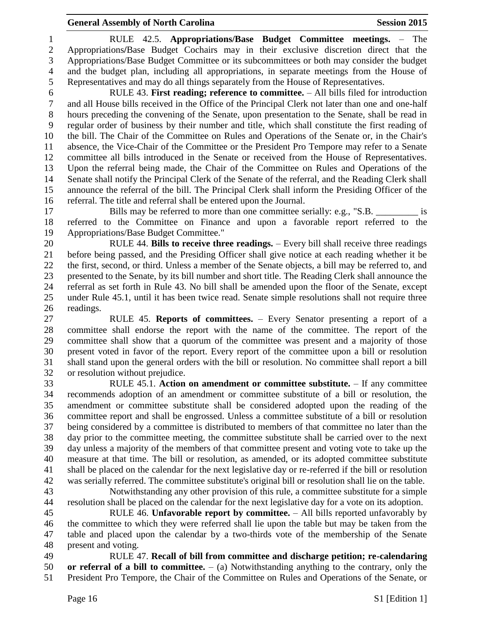RULE 42.5. **Appropriations/Base Budget Committee meetings.** – The Appropriations**/**Base Budget Cochairs may in their exclusive discretion direct that the Appropriations/Base Budget Committee or its subcommittees or both may consider the budget and the budget plan, including all appropriations, in separate meetings from the House of Representatives and may do all things separately from the House of Representatives.

 RULE 43. **First reading; reference to committee.** – All bills filed for introduction and all House bills received in the Office of the Principal Clerk not later than one and one-half hours preceding the convening of the Senate, upon presentation to the Senate, shall be read in regular order of business by their number and title, which shall constitute the first reading of the bill. The Chair of the Committee on Rules and Operations of the Senate or, in the Chair's absence, the Vice-Chair of the Committee or the President Pro Tempore may refer to a Senate committee all bills introduced in the Senate or received from the House of Representatives. Upon the referral being made, the Chair of the Committee on Rules and Operations of the Senate shall notify the Principal Clerk of the Senate of the referral, and the Reading Clerk shall announce the referral of the bill. The Principal Clerk shall inform the Presiding Officer of the referral. The title and referral shall be entered upon the Journal.

17 Bills may be referred to more than one committee serially: e.g., "S.B. is referred to the Committee on Finance and upon a favorable report referred to the Appropriations/Base Budget Committee."

 RULE 44. **Bills to receive three readings.** – Every bill shall receive three readings before being passed, and the Presiding Officer shall give notice at each reading whether it be the first, second, or third. Unless a member of the Senate objects, a bill may be referred to, and presented to the Senate, by its bill number and short title. The Reading Clerk shall announce the referral as set forth in Rule 43. No bill shall be amended upon the floor of the Senate, except under Rule 45.1, until it has been twice read. Senate simple resolutions shall not require three readings.

 RULE 45. **Reports of committees.** – Every Senator presenting a report of a committee shall endorse the report with the name of the committee. The report of the committee shall show that a quorum of the committee was present and a majority of those present voted in favor of the report. Every report of the committee upon a bill or resolution shall stand upon the general orders with the bill or resolution. No committee shall report a bill or resolution without prejudice.

 RULE 45.1. **Action on amendment or committee substitute.** – If any committee recommends adoption of an amendment or committee substitute of a bill or resolution, the amendment or committee substitute shall be considered adopted upon the reading of the committee report and shall be engrossed. Unless a committee substitute of a bill or resolution being considered by a committee is distributed to members of that committee no later than the day prior to the committee meeting, the committee substitute shall be carried over to the next day unless a majority of the members of that committee present and voting vote to take up the measure at that time. The bill or resolution, as amended, or its adopted committee substitute shall be placed on the calendar for the next legislative day or re-referred if the bill or resolution was serially referred. The committee substitute's original bill or resolution shall lie on the table.

 Notwithstanding any other provision of this rule, a committee substitute for a simple resolution shall be placed on the calendar for the next legislative day for a vote on its adoption.

 RULE 46. **Unfavorable report by committee.** – All bills reported unfavorably by the committee to which they were referred shall lie upon the table but may be taken from the table and placed upon the calendar by a two-thirds vote of the membership of the Senate present and voting.

 RULE 47. **Recall of bill from committee and discharge petition; re-calendaring or referral of a bill to committee.** – (a) Notwithstanding anything to the contrary, only the President Pro Tempore, the Chair of the Committee on Rules and Operations of the Senate, or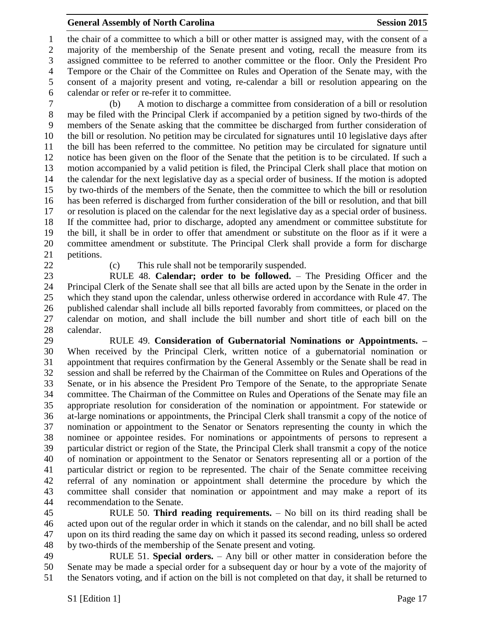the chair of a committee to which a bill or other matter is assigned may, with the consent of a majority of the membership of the Senate present and voting, recall the measure from its assigned committee to be referred to another committee or the floor. Only the President Pro Tempore or the Chair of the Committee on Rules and Operation of the Senate may, with the consent of a majority present and voting, re-calendar a bill or resolution appearing on the calendar or refer or re-refer it to committee.

 (b) A motion to discharge a committee from consideration of a bill or resolution may be filed with the Principal Clerk if accompanied by a petition signed by two-thirds of the members of the Senate asking that the committee be discharged from further consideration of the bill or resolution. No petition may be circulated for signatures until 10 legislative days after the bill has been referred to the committee. No petition may be circulated for signature until notice has been given on the floor of the Senate that the petition is to be circulated. If such a motion accompanied by a valid petition is filed, the Principal Clerk shall place that motion on the calendar for the next legislative day as a special order of business. If the motion is adopted by two-thirds of the members of the Senate, then the committee to which the bill or resolution has been referred is discharged from further consideration of the bill or resolution, and that bill or resolution is placed on the calendar for the next legislative day as a special order of business. If the committee had, prior to discharge, adopted any amendment or committee substitute for the bill, it shall be in order to offer that amendment or substitute on the floor as if it were a committee amendment or substitute. The Principal Clerk shall provide a form for discharge petitions.

(c) This rule shall not be temporarily suspended.

 RULE 48. **Calendar; order to be followed.** – The Presiding Officer and the Principal Clerk of the Senate shall see that all bills are acted upon by the Senate in the order in which they stand upon the calendar, unless otherwise ordered in accordance with Rule 47. The published calendar shall include all bills reported favorably from committees, or placed on the calendar on motion, and shall include the bill number and short title of each bill on the calendar.

 RULE 49. **Consideration of Gubernatorial Nominations or Appointments. –** When received by the Principal Clerk, written notice of a gubernatorial nomination or appointment that requires confirmation by the General Assembly or the Senate shall be read in session and shall be referred by the Chairman of the Committee on Rules and Operations of the Senate, or in his absence the President Pro Tempore of the Senate, to the appropriate Senate committee. The Chairman of the Committee on Rules and Operations of the Senate may file an appropriate resolution for consideration of the nomination or appointment. For statewide or at-large nominations or appointments, the Principal Clerk shall transmit a copy of the notice of nomination or appointment to the Senator or Senators representing the county in which the nominee or appointee resides. For nominations or appointments of persons to represent a particular district or region of the State, the Principal Clerk shall transmit a copy of the notice of nomination or appointment to the Senator or Senators representing all or a portion of the particular district or region to be represented. The chair of the Senate committee receiving referral of any nomination or appointment shall determine the procedure by which the committee shall consider that nomination or appointment and may make a report of its recommendation to the Senate.

 RULE 50. **Third reading requirements.** – No bill on its third reading shall be acted upon out of the regular order in which it stands on the calendar, and no bill shall be acted upon on its third reading the same day on which it passed its second reading, unless so ordered by two-thirds of the membership of the Senate present and voting.

 RULE 51. **Special orders.** – Any bill or other matter in consideration before the Senate may be made a special order for a subsequent day or hour by a vote of the majority of the Senators voting, and if action on the bill is not completed on that day, it shall be returned to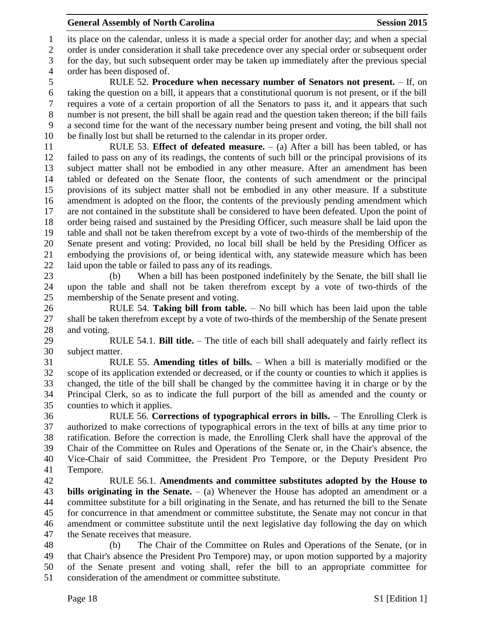its place on the calendar, unless it is made a special order for another day; and when a special order is under consideration it shall take precedence over any special order or subsequent order for the day, but such subsequent order may be taken up immediately after the previous special

order has been disposed of.

 RULE 52. **Procedure when necessary number of Senators not present.** – If, on taking the question on a bill, it appears that a constitutional quorum is not present, or if the bill requires a vote of a certain proportion of all the Senators to pass it, and it appears that such number is not present, the bill shall be again read and the question taken thereon; if the bill fails a second time for the want of the necessary number being present and voting, the bill shall not be finally lost but shall be returned to the calendar in its proper order.

 RULE 53. **Effect of defeated measure.** – (a) After a bill has been tabled, or has failed to pass on any of its readings, the contents of such bill or the principal provisions of its subject matter shall not be embodied in any other measure. After an amendment has been tabled or defeated on the Senate floor, the contents of such amendment or the principal provisions of its subject matter shall not be embodied in any other measure. If a substitute amendment is adopted on the floor, the contents of the previously pending amendment which are not contained in the substitute shall be considered to have been defeated. Upon the point of order being raised and sustained by the Presiding Officer, such measure shall be laid upon the table and shall not be taken therefrom except by a vote of two-thirds of the membership of the Senate present and voting: Provided, no local bill shall be held by the Presiding Officer as embodying the provisions of, or being identical with, any statewide measure which has been laid upon the table or failed to pass any of its readings.

 (b) When a bill has been postponed indefinitely by the Senate, the bill shall lie upon the table and shall not be taken therefrom except by a vote of two-thirds of the membership of the Senate present and voting.

 RULE 54. **Taking bill from table.** – No bill which has been laid upon the table shall be taken therefrom except by a vote of two-thirds of the membership of the Senate present and voting.

 RULE 54.1. **Bill title.** – The title of each bill shall adequately and fairly reflect its subject matter.

 RULE 55. **Amending titles of bills.** – When a bill is materially modified or the scope of its application extended or decreased, or if the county or counties to which it applies is changed, the title of the bill shall be changed by the committee having it in charge or by the Principal Clerk, so as to indicate the full purport of the bill as amended and the county or counties to which it applies.

 RULE 56. **Corrections of typographical errors in bills.** – The Enrolling Clerk is authorized to make corrections of typographical errors in the text of bills at any time prior to ratification. Before the correction is made, the Enrolling Clerk shall have the approval of the Chair of the Committee on Rules and Operations of the Senate or, in the Chair's absence, the Vice-Chair of said Committee, the President Pro Tempore, or the Deputy President Pro Tempore.

 RULE 56.1. **Amendments and committee substitutes adopted by the House to bills originating in the Senate.** – (a) Whenever the House has adopted an amendment or a committee substitute for a bill originating in the Senate, and has returned the bill to the Senate for concurrence in that amendment or committee substitute, the Senate may not concur in that amendment or committee substitute until the next legislative day following the day on which the Senate receives that measure.

 (b) The Chair of the Committee on Rules and Operations of the Senate, (or in that Chair's absence the President Pro Tempore) may, or upon motion supported by a majority of the Senate present and voting shall, refer the bill to an appropriate committee for consideration of the amendment or committee substitute.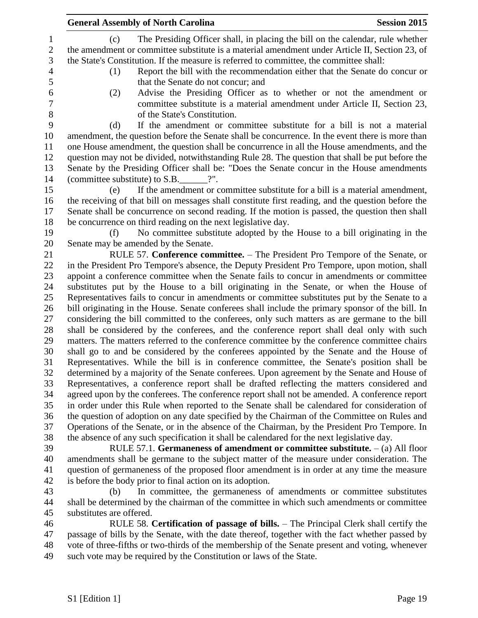|                | <b>General Assembly of North Carolina</b><br><b>Session 2015</b>                                                                                                                              |
|----------------|-----------------------------------------------------------------------------------------------------------------------------------------------------------------------------------------------|
| $\mathbf{1}$   | The Presiding Officer shall, in placing the bill on the calendar, rule whether<br>(c)                                                                                                         |
| $\sqrt{2}$     | the amendment or committee substitute is a material amendment under Article II, Section 23, of                                                                                                |
| 3              | the State's Constitution. If the measure is referred to committee, the committee shall:                                                                                                       |
| $\overline{4}$ | Report the bill with the recommendation either that the Senate do concur or<br>(1)                                                                                                            |
| 5              | that the Senate do not concur; and                                                                                                                                                            |
| 6              | (2)<br>Advise the Presiding Officer as to whether or not the amendment or                                                                                                                     |
| $\overline{7}$ | committee substitute is a material amendment under Article II, Section 23,                                                                                                                    |
| $8\,$          | of the State's Constitution.                                                                                                                                                                  |
| 9              | If the amendment or committee substitute for a bill is not a material<br>(d)                                                                                                                  |
| 10             | amendment, the question before the Senate shall be concurrence. In the event there is more than                                                                                               |
| 11             | one House amendment, the question shall be concurrence in all the House amendments, and the                                                                                                   |
| 12             | question may not be divided, notwithstanding Rule 28. The question that shall be put before the                                                                                               |
| 13             | Senate by the Presiding Officer shall be: "Does the Senate concur in the House amendments                                                                                                     |
| 14             | (committee substitute) to $S.B.$ $?$ ".                                                                                                                                                       |
| 15             | If the amendment or committee substitute for a bill is a material amendment,<br>(e)                                                                                                           |
| 16             | the receiving of that bill on messages shall constitute first reading, and the question before the                                                                                            |
| 17             | Senate shall be concurrence on second reading. If the motion is passed, the question then shall                                                                                               |
| 18             | be concurrence on third reading on the next legislative day.                                                                                                                                  |
| 19             | No committee substitute adopted by the House to a bill originating in the<br>(f)                                                                                                              |
| 20             | Senate may be amended by the Senate.                                                                                                                                                          |
| 21             | RULE 57. Conference committee. - The President Pro Tempore of the Senate, or                                                                                                                  |
| 22             | in the President Pro Tempore's absence, the Deputy President Pro Tempore, upon motion, shall                                                                                                  |
| 23             | appoint a conference committee when the Senate fails to concur in amendments or committee                                                                                                     |
| 24             | substitutes put by the House to a bill originating in the Senate, or when the House of                                                                                                        |
| 25             | Representatives fails to concur in amendments or committee substitutes put by the Senate to a                                                                                                 |
| 26             | bill originating in the House. Senate conferees shall include the primary sponsor of the bill. In                                                                                             |
| 27             | considering the bill committed to the conferees, only such matters as are germane to the bill                                                                                                 |
| 28             | shall be considered by the conferees, and the conference report shall deal only with such                                                                                                     |
| 29             | matters. The matters referred to the conference committee by the conference committee chairs                                                                                                  |
| 30             | shall go to and be considered by the conferees appointed by the Senate and the House of                                                                                                       |
| 31             | Representatives. While the bill is in conference committee, the Senate's position shall be                                                                                                    |
| 32             | determined by a majority of the Senate conferees. Upon agreement by the Senate and House of                                                                                                   |
| 33             | Representatives, a conference report shall be drafted reflecting the matters considered and                                                                                                   |
| 34<br>35       | agreed upon by the conferees. The conference report shall not be amended. A conference report                                                                                                 |
| 36             | in order under this Rule when reported to the Senate shall be calendared for consideration of                                                                                                 |
| 37             | the question of adoption on any date specified by the Chairman of the Committee on Rules and<br>Operations of the Senate, or in the absence of the Chairman, by the President Pro Tempore. In |
| 38             | the absence of any such specification it shall be calendared for the next legislative day.                                                                                                    |
| 39             | RULE 57.1. Germaneness of amendment or committee substitute. $-$ (a) All floor                                                                                                                |
| 40             | amendments shall be germane to the subject matter of the measure under consideration. The                                                                                                     |
| 41             | question of germaneness of the proposed floor amendment is in order at any time the measure                                                                                                   |
| 42             | is before the body prior to final action on its adoption.                                                                                                                                     |
| 43             | In committee, the germaneness of amendments or committee substitutes<br>(b)                                                                                                                   |
| 44             | shall be determined by the chairman of the committee in which such amendments or committee                                                                                                    |
| 45             | substitutes are offered.                                                                                                                                                                      |
| 46             | RULE 58. Certification of passage of bills. - The Principal Clerk shall certify the                                                                                                           |
| 47             | passage of bills by the Senate, with the date thereof, together with the fact whether passed by                                                                                               |
| 48             | vote of three-fifths or two-thirds of the membership of the Senate present and voting, whenever                                                                                               |

such vote may be required by the Constitution or laws of the State.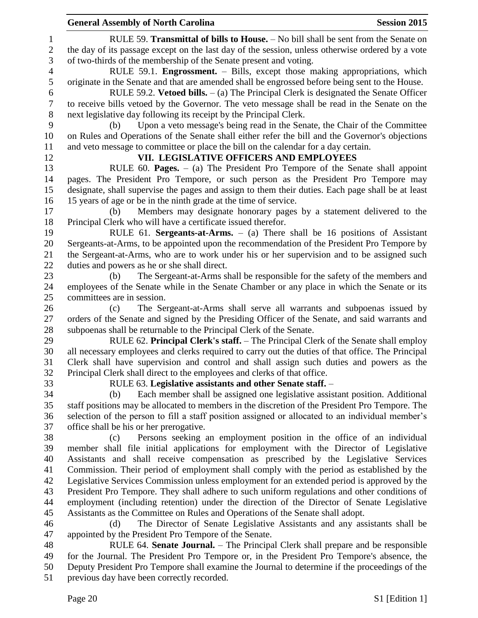|                  | <b>General Assembly of North Carolina</b><br><b>Session 2015</b>                                  |
|------------------|---------------------------------------------------------------------------------------------------|
| $\mathbf{1}$     | RULE 59. Transmittal of bills to House. - No bill shall be sent from the Senate on                |
| $\sqrt{2}$       | the day of its passage except on the last day of the session, unless otherwise ordered by a vote  |
| 3                | of two-thirds of the membership of the Senate present and voting.                                 |
| $\overline{4}$   | RULE 59.1. Engrossment. - Bills, except those making appropriations, which                        |
| 5                | originate in the Senate and that are amended shall be engrossed before being sent to the House.   |
| 6                | RULE 59.2. Vetoed bills. $-$ (a) The Principal Clerk is designated the Senate Officer             |
| $\boldsymbol{7}$ | to receive bills vetoed by the Governor. The veto message shall be read in the Senate on the      |
| $\,8\,$          | next legislative day following its receipt by the Principal Clerk.                                |
| 9                | Upon a veto message's being read in the Senate, the Chair of the Committee<br>(b)                 |
| 10               | on Rules and Operations of the Senate shall either refer the bill and the Governor's objections   |
| 11               | and veto message to committee or place the bill on the calendar for a day certain.                |
| 12               | VII. LEGISLATIVE OFFICERS AND EMPLOYEES                                                           |
|                  |                                                                                                   |
| 13               | RULE 60. Pages. $-$ (a) The President Pro Tempore of the Senate shall appoint                     |
| 14               | pages. The President Pro Tempore, or such person as the President Pro Tempore may                 |
| 15               | designate, shall supervise the pages and assign to them their duties. Each page shall be at least |
| 16               | 15 years of age or be in the ninth grade at the time of service.                                  |
| 17               | Members may designate honorary pages by a statement delivered to the<br>(b)                       |
| 18               | Principal Clerk who will have a certificate issued therefor.                                      |
| 19               | RULE 61. Sergeants-at-Arms. $-$ (a) There shall be 16 positions of Assistant                      |
| 20               | Sergeants-at-Arms, to be appointed upon the recommendation of the President Pro Tempore by        |
| 21               | the Sergeant-at-Arms, who are to work under his or her supervision and to be assigned such        |
| 22               | duties and powers as he or she shall direct.                                                      |
| 23               | The Sergeant-at-Arms shall be responsible for the safety of the members and<br>(b)                |
| 24               | employees of the Senate while in the Senate Chamber or any place in which the Senate or its       |
| 25               | committees are in session.                                                                        |
| 26               | The Sergeant-at-Arms shall serve all warrants and subpoenas issued by<br>(c)                      |
| 27               | orders of the Senate and signed by the Presiding Officer of the Senate, and said warrants and     |
| 28               | subpoenas shall be returnable to the Principal Clerk of the Senate.                               |
| 29               | RULE 62. Principal Clerk's staff. - The Principal Clerk of the Senate shall employ                |
| 30               | all necessary employees and clerks required to carry out the duties of that office. The Principal |
| 31               | Clerk shall have supervision and control and shall assign such duties and powers as the           |
| 32               | Principal Clerk shall direct to the employees and clerks of that office.                          |
| 33               | RULE 63. Legislative assistants and other Senate staff. -                                         |
| 34               | Each member shall be assigned one legislative assistant position. Additional<br>(b)               |
| 35               | staff positions may be allocated to members in the discretion of the President Pro Tempore. The   |
| 36               | selection of the person to fill a staff position assigned or allocated to an individual member's  |
| 37               | office shall be his or her prerogative.                                                           |
| 38               | Persons seeking an employment position in the office of an individual<br>(c)                      |
| 39               | member shall file initial applications for employment with the Director of Legislative            |
| 40               | Assistants and shall receive compensation as prescribed by the Legislative Services               |
| 41               | Commission. Their period of employment shall comply with the period as established by the         |
| 42               | Legislative Services Commission unless employment for an extended period is approved by the       |
| 43               | President Pro Tempore. They shall adhere to such uniform regulations and other conditions of      |
| 44               | employment (including retention) under the direction of the Director of Senate Legislative        |
| 45               | Assistants as the Committee on Rules and Operations of the Senate shall adopt.                    |
| 46               | The Director of Senate Legislative Assistants and any assistants shall be<br>(d)                  |
| 47               | appointed by the President Pro Tempore of the Senate.                                             |
| 48               | RULE 64. Senate Journal. – The Principal Clerk shall prepare and be responsible                   |
| 49               | for the Journal. The President Pro Tempore or, in the President Pro Tempore's absence, the        |
| 50               | Deputy President Pro Tempore shall examine the Journal to determine if the proceedings of the     |
| 51               | previous day have been correctly recorded.                                                        |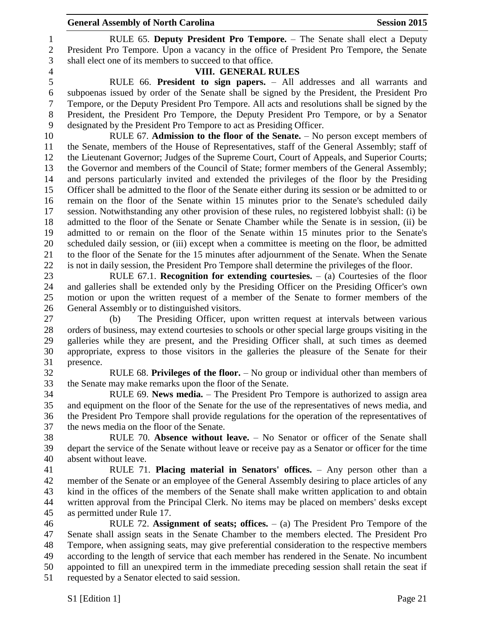RULE 65. **Deputy President Pro Tempore.** – The Senate shall elect a Deputy President Pro Tempore. Upon a vacancy in the office of President Pro Tempore, the Senate shall elect one of its members to succeed to that office.

# **VIII. GENERAL RULES**

 RULE 66. **President to sign papers.** – All addresses and all warrants and subpoenas issued by order of the Senate shall be signed by the President, the President Pro Tempore, or the Deputy President Pro Tempore. All acts and resolutions shall be signed by the President, the President Pro Tempore, the Deputy President Pro Tempore, or by a Senator designated by the President Pro Tempore to act as Presiding Officer.

 RULE 67. **Admission to the floor of the Senate.** – No person except members of the Senate, members of the House of Representatives, staff of the General Assembly; staff of the Lieutenant Governor; Judges of the Supreme Court, Court of Appeals, and Superior Courts; the Governor and members of the Council of State; former members of the General Assembly; and persons particularly invited and extended the privileges of the floor by the Presiding Officer shall be admitted to the floor of the Senate either during its session or be admitted to or remain on the floor of the Senate within 15 minutes prior to the Senate's scheduled daily session. Notwithstanding any other provision of these rules, no registered lobbyist shall: (i) be admitted to the floor of the Senate or Senate Chamber while the Senate is in session, (ii) be admitted to or remain on the floor of the Senate within 15 minutes prior to the Senate's scheduled daily session, or (iii) except when a committee is meeting on the floor, be admitted to the floor of the Senate for the 15 minutes after adjournment of the Senate. When the Senate is not in daily session, the President Pro Tempore shall determine the privileges of the floor.

 RULE 67.1. **Recognition for extending courtesies.** – (a) Courtesies of the floor and galleries shall be extended only by the Presiding Officer on the Presiding Officer's own motion or upon the written request of a member of the Senate to former members of the General Assembly or to distinguished visitors.

 (b) The Presiding Officer, upon written request at intervals between various orders of business, may extend courtesies to schools or other special large groups visiting in the galleries while they are present, and the Presiding Officer shall, at such times as deemed appropriate, express to those visitors in the galleries the pleasure of the Senate for their presence.

 RULE 68. **Privileges of the floor.** – No group or individual other than members of the Senate may make remarks upon the floor of the Senate.

 RULE 69. **News media.** – The President Pro Tempore is authorized to assign area and equipment on the floor of the Senate for the use of the representatives of news media, and the President Pro Tempore shall provide regulations for the operation of the representatives of the news media on the floor of the Senate.

 RULE 70. **Absence without leave.** – No Senator or officer of the Senate shall depart the service of the Senate without leave or receive pay as a Senator or officer for the time absent without leave.

 RULE 71. **Placing material in Senators' offices.** – Any person other than a member of the Senate or an employee of the General Assembly desiring to place articles of any kind in the offices of the members of the Senate shall make written application to and obtain written approval from the Principal Clerk. No items may be placed on members' desks except as permitted under Rule 17.

 RULE 72. **Assignment of seats; offices.** – (a) The President Pro Tempore of the Senate shall assign seats in the Senate Chamber to the members elected. The President Pro Tempore, when assigning seats, may give preferential consideration to the respective members according to the length of service that each member has rendered in the Senate. No incumbent appointed to fill an unexpired term in the immediate preceding session shall retain the seat if requested by a Senator elected to said session.